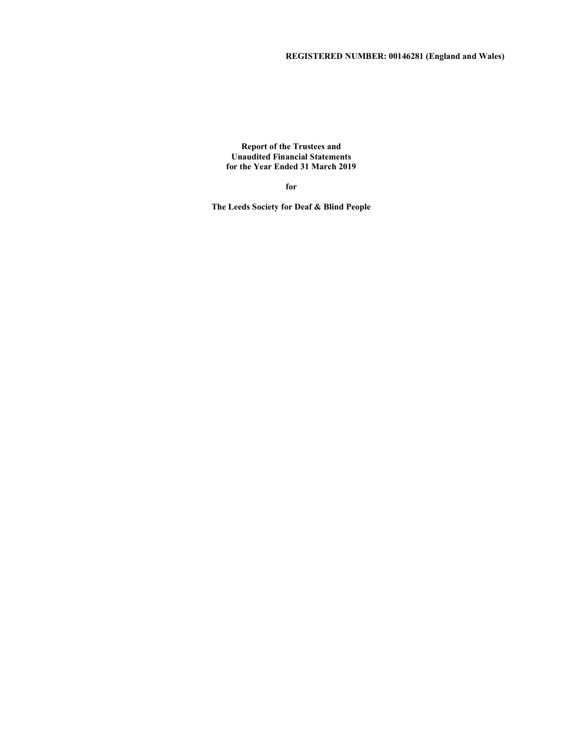Report of the Trustees and Unaudited Financial Statements for the Year Ended 31 March 2019

for

The Leeds Society for Deaf & Blind People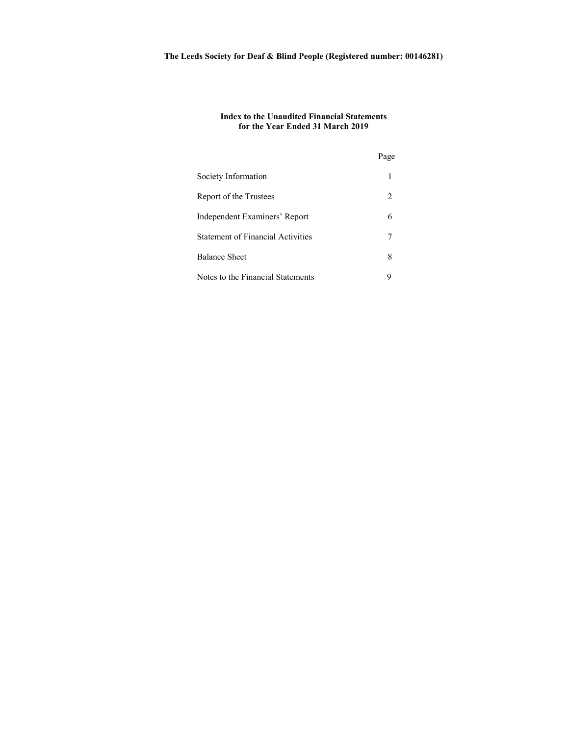# Index to the Unaudited Financial Statements for the Year Ended 31 March 2019

|                                          | Page                          |
|------------------------------------------|-------------------------------|
| Society Information                      |                               |
| Report of the Trustees                   | $\mathfrak{D}_{\mathfrak{p}}$ |
| Independent Examiners' Report            | 6                             |
| <b>Statement of Financial Activities</b> |                               |
| <b>Balance Sheet</b>                     | 8                             |
| Notes to the Financial Statements        | 9                             |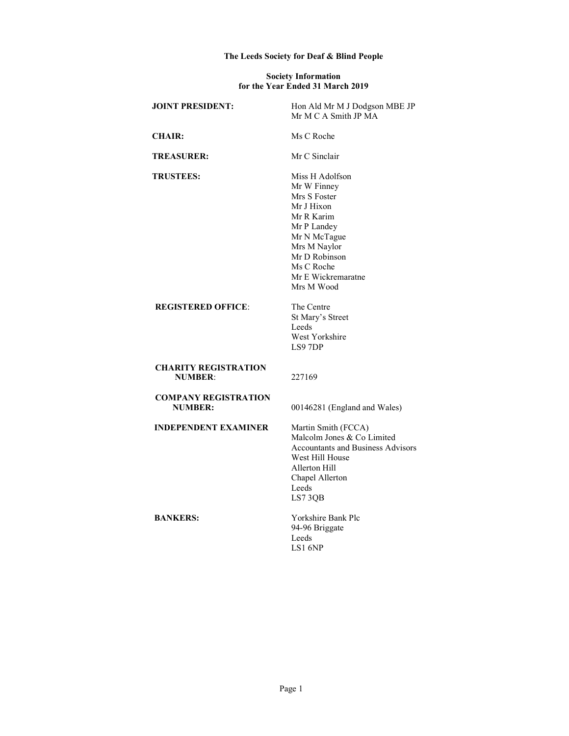# The Leeds Society for Deaf & Blind People

### Society Information for the Year Ended 31 March 2019

| <b>JOINT PRESIDENT:</b>                       | Hon Ald Mr M J Dodgson MBE JP<br>Mr M C A Smith JP MA                                                                                                                                        |
|-----------------------------------------------|----------------------------------------------------------------------------------------------------------------------------------------------------------------------------------------------|
| <b>CHAIR:</b>                                 | Ms C Roche                                                                                                                                                                                   |
| <b>TREASURER:</b>                             | Mr C Sinclair                                                                                                                                                                                |
| <b>TRUSTEES:</b>                              | Miss H Adolfson<br>Mr W Finney<br>Mrs S Foster<br>Mr J Hixon<br>Mr R Karim<br>Mr P Landey<br>Mr N McTague<br>Mrs M Naylor<br>Mr D Robinson<br>Ms C Roche<br>Mr E Wickremaratne<br>Mrs M Wood |
| <b>REGISTERED OFFICE:</b>                     | The Centre<br>St Mary's Street<br>Leeds<br>West Yorkshire<br>LS9 7DP                                                                                                                         |
| <b>CHARITY REGISTRATION</b><br><b>NUMBER:</b> | 227169                                                                                                                                                                                       |
| <b>COMPANY REGISTRATION</b><br><b>NUMBER:</b> | 00146281 (England and Wales)                                                                                                                                                                 |
| <b>INDEPENDENT EXAMINER</b>                   | Martin Smith (FCCA)<br>Malcolm Jones & Co Limited<br><b>Accountants and Business Advisors</b><br>West Hill House<br>Allerton Hill<br>Chapel Allerton<br>Leeds<br>LS73QB                      |
| <b>BANKERS:</b>                               | Yorkshire Bank Plc<br>94-96 Briggate<br>Leeds<br>$LS1$ 6NP                                                                                                                                   |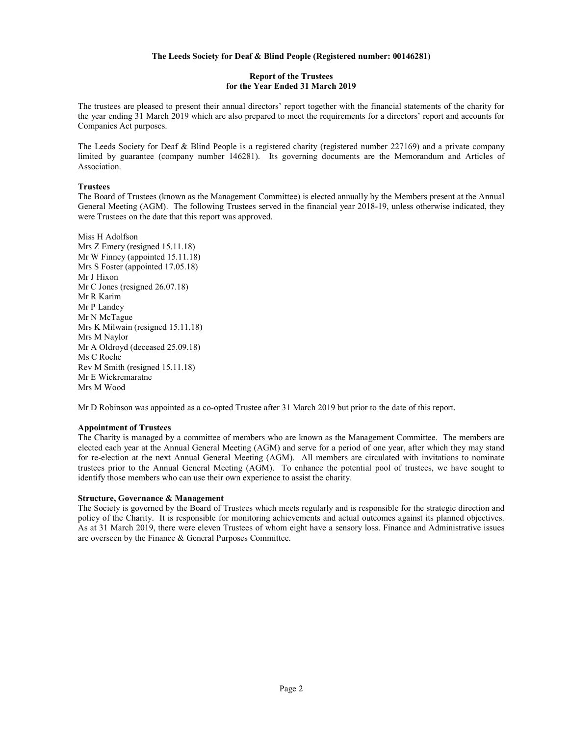## Report of the Trustees for the Year Ended 31 March 2019

The trustees are pleased to present their annual directors' report together with the financial statements of the charity for the year ending 31 March 2019 which are also prepared to meet the requirements for a directors' report and accounts for Companies Act purposes.

The Leeds Society for Deaf & Blind People is a registered charity (registered number 227169) and a private company limited by guarantee (company number 146281). Its governing documents are the Memorandum and Articles of Association.

### **Trustees**

The Board of Trustees (known as the Management Committee) is elected annually by the Members present at the Annual General Meeting (AGM). The following Trustees served in the financial year 2018-19, unless otherwise indicated, they were Trustees on the date that this report was approved.

Miss H Adolfson Mrs Z Emery (resigned 15.11.18) Mr W Finney (appointed 15.11.18) Mrs S Foster (appointed 17.05.18) Mr J Hixon Mr C Jones (resigned 26.07.18) Mr R Karim Mr P Landey Mr N McTague Mrs K Milwain (resigned 15.11.18) Mrs M Naylor Mr A Oldroyd (deceased 25.09.18) Ms C Roche Rev M Smith (resigned 15.11.18) Mr E Wickremaratne Mrs M Wood

Mr D Robinson was appointed as a co-opted Trustee after 31 March 2019 but prior to the date of this report.

### Appointment of Trustees

The Charity is managed by a committee of members who are known as the Management Committee. The members are elected each year at the Annual General Meeting (AGM) and serve for a period of one year, after which they may stand for re-election at the next Annual General Meeting (AGM). All members are circulated with invitations to nominate trustees prior to the Annual General Meeting (AGM). To enhance the potential pool of trustees, we have sought to identify those members who can use their own experience to assist the charity.

### Structure, Governance & Management

The Society is governed by the Board of Trustees which meets regularly and is responsible for the strategic direction and policy of the Charity. It is responsible for monitoring achievements and actual outcomes against its planned objectives. As at 31 March 2019, there were eleven Trustees of whom eight have a sensory loss. Finance and Administrative issues are overseen by the Finance & General Purposes Committee.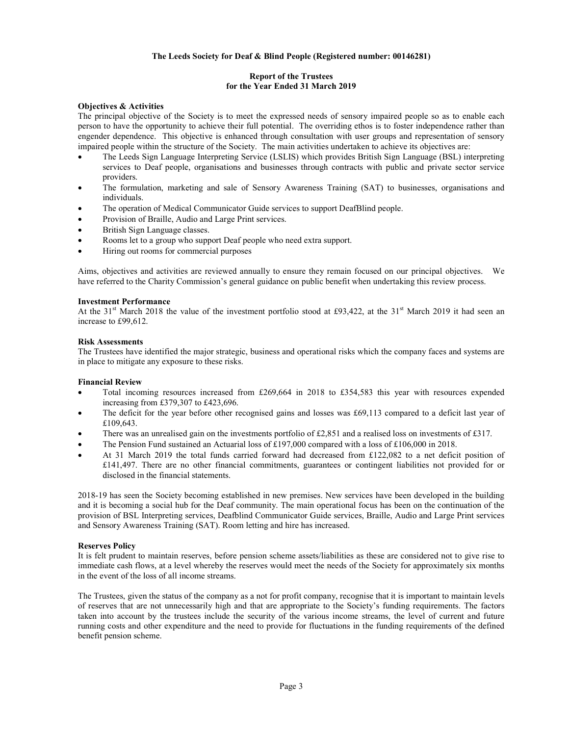# Report of the Trustees for the Year Ended 31 March 2019

# Objectives & Activities

The principal objective of the Society is to meet the expressed needs of sensory impaired people so as to enable each person to have the opportunity to achieve their full potential. The overriding ethos is to foster independence rather than engender dependence. This objective is enhanced through consultation with user groups and representation of sensory impaired people within the structure of the Society. The main activities undertaken to achieve its objectives are:

- The Leeds Sign Language Interpreting Service (LSLIS) which provides British Sign Language (BSL) interpreting services to Deaf people, organisations and businesses through contracts with public and private sector service providers.
- The formulation, marketing and sale of Sensory Awareness Training (SAT) to businesses, organisations and individuals.
- The operation of Medical Communicator Guide services to support DeafBlind people.
- Provision of Braille, Audio and Large Print services.
- British Sign Language classes.
- Rooms let to a group who support Deaf people who need extra support.
- Hiring out rooms for commercial purposes

Aims, objectives and activities are reviewed annually to ensure they remain focused on our principal objectives. We have referred to the Charity Commission's general guidance on public benefit when undertaking this review process.

### Investment Performance

At the 31<sup>st</sup> March 2018 the value of the investment portfolio stood at £93,422, at the 31<sup>st</sup> March 2019 it had seen an increase to £99,612.

### Risk Assessments

The Trustees have identified the major strategic, business and operational risks which the company faces and systems are in place to mitigate any exposure to these risks.

### Financial Review

- Total incoming resources increased from £269,664 in 2018 to £354,583 this year with resources expended increasing from £379,307 to £423,696.
- The deficit for the year before other recognised gains and losses was £69,113 compared to a deficit last year of £109,643.
- There was an unrealised gain on the investments portfolio of £2,851 and a realised loss on investments of £317.
- The Pension Fund sustained an Actuarial loss of £197,000 compared with a loss of £106,000 in 2018.
- At 31 March 2019 the total funds carried forward had decreased from £122,082 to a net deficit position of £141,497. There are no other financial commitments, guarantees or contingent liabilities not provided for or disclosed in the financial statements.

2018-19 has seen the Society becoming established in new premises. New services have been developed in the building and it is becoming a social hub for the Deaf community. The main operational focus has been on the continuation of the provision of BSL Interpreting services, Deafblind Communicator Guide services, Braille, Audio and Large Print services and Sensory Awareness Training (SAT). Room letting and hire has increased.

### Reserves Policy

It is felt prudent to maintain reserves, before pension scheme assets/liabilities as these are considered not to give rise to immediate cash flows, at a level whereby the reserves would meet the needs of the Society for approximately six months in the event of the loss of all income streams.

The Trustees, given the status of the company as a not for profit company, recognise that it is important to maintain levels of reserves that are not unnecessarily high and that are appropriate to the Society's funding requirements. The factors taken into account by the trustees include the security of the various income streams, the level of current and future running costs and other expenditure and the need to provide for fluctuations in the funding requirements of the defined benefit pension scheme.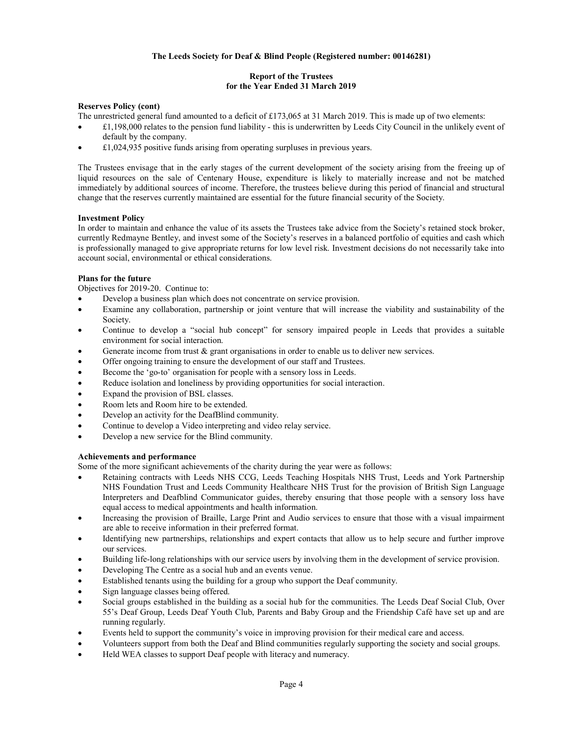# Report of the Trustees for the Year Ended 31 March 2019

# Reserves Policy (cont)

- The unrestricted general fund amounted to a deficit of £173,065 at 31 March 2019. This is made up of two elements:
- £1,198,000 relates to the pension fund liability this is underwritten by Leeds City Council in the unlikely event of default by the company.
- £1,024,935 positive funds arising from operating surpluses in previous years.

The Trustees envisage that in the early stages of the current development of the society arising from the freeing up of liquid resources on the sale of Centenary House, expenditure is likely to materially increase and not be matched immediately by additional sources of income. Therefore, the trustees believe during this period of financial and structural change that the reserves currently maintained are essential for the future financial security of the Society.

## Investment Policy

In order to maintain and enhance the value of its assets the Trustees take advice from the Society's retained stock broker, currently Redmayne Bentley, and invest some of the Society's reserves in a balanced portfolio of equities and cash which is professionally managed to give appropriate returns for low level risk. Investment decisions do not necessarily take into account social, environmental or ethical considerations.

## Plans for the future

Objectives for 2019-20. Continue to:

- Develop a business plan which does not concentrate on service provision.
- Examine any collaboration, partnership or joint venture that will increase the viability and sustainability of the Society.
- Continue to develop a "social hub concept" for sensory impaired people in Leeds that provides a suitable environment for social interaction.
- Generate income from trust  $\&$  grant organisations in order to enable us to deliver new services.
- Offer ongoing training to ensure the development of our staff and Trustees.
- Become the 'go-to' organisation for people with a sensory loss in Leeds.
- Reduce isolation and loneliness by providing opportunities for social interaction.
- Expand the provision of BSL classes.
- Room lets and Room hire to be extended.
- Develop an activity for the DeafBlind community.
- Continue to develop a Video interpreting and video relay service.
- Develop a new service for the Blind community.

# Achievements and performance

Some of the more significant achievements of the charity during the year were as follows:

- Retaining contracts with Leeds NHS CCG, Leeds Teaching Hospitals NHS Trust, Leeds and York Partnership NHS Foundation Trust and Leeds Community Healthcare NHS Trust for the provision of British Sign Language Interpreters and Deafblind Communicator guides, thereby ensuring that those people with a sensory loss have equal access to medical appointments and health information.
- Increasing the provision of Braille, Large Print and Audio services to ensure that those with a visual impairment are able to receive information in their preferred format.
- Identifying new partnerships, relationships and expert contacts that allow us to help secure and further improve our services.
- Building life-long relationships with our service users by involving them in the development of service provision.
- Developing The Centre as a social hub and an events venue.
- Established tenants using the building for a group who support the Deaf community.
- Sign language classes being offered.
- Social groups established in the building as a social hub for the communities. The Leeds Deaf Social Club, Over 55's Deaf Group, Leeds Deaf Youth Club, Parents and Baby Group and the Friendship Café have set up and are running regularly.
- Events held to support the community's voice in improving provision for their medical care and access.
- Volunteers support from both the Deaf and Blind communities regularly supporting the society and social groups.
- Held WEA classes to support Deaf people with literacy and numeracy.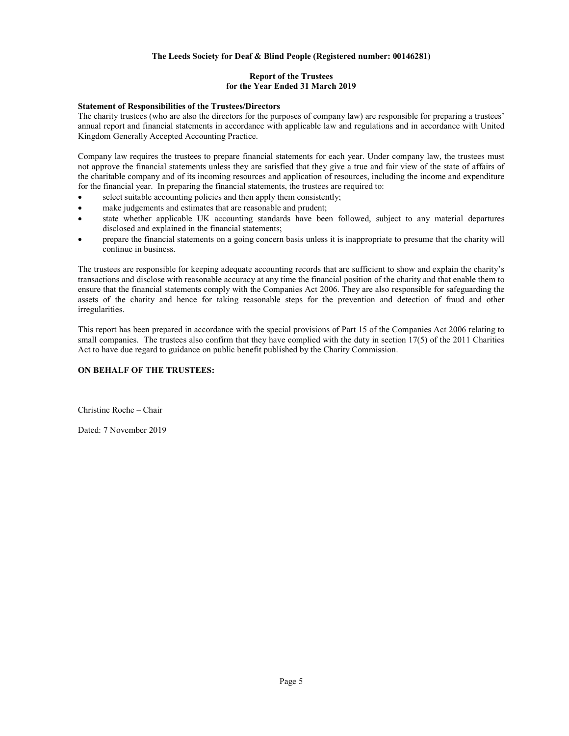# Report of the Trustees for the Year Ended 31 March 2019

# Statement of Responsibilities of the Trustees/Directors

The charity trustees (who are also the directors for the purposes of company law) are responsible for preparing a trustees' annual report and financial statements in accordance with applicable law and regulations and in accordance with United Kingdom Generally Accepted Accounting Practice.

Company law requires the trustees to prepare financial statements for each year. Under company law, the trustees must not approve the financial statements unless they are satisfied that they give a true and fair view of the state of affairs of the charitable company and of its incoming resources and application of resources, including the income and expenditure for the financial year. In preparing the financial statements, the trustees are required to:

- select suitable accounting policies and then apply them consistently;
- make judgements and estimates that are reasonable and prudent;
- state whether applicable UK accounting standards have been followed, subject to any material departures disclosed and explained in the financial statements;
- prepare the financial statements on a going concern basis unless it is inappropriate to presume that the charity will continue in business.

The trustees are responsible for keeping adequate accounting records that are sufficient to show and explain the charity's transactions and disclose with reasonable accuracy at any time the financial position of the charity and that enable them to ensure that the financial statements comply with the Companies Act 2006. They are also responsible for safeguarding the assets of the charity and hence for taking reasonable steps for the prevention and detection of fraud and other irregularities.

This report has been prepared in accordance with the special provisions of Part 15 of the Companies Act 2006 relating to small companies. The trustees also confirm that they have complied with the duty in section 17(5) of the 2011 Charities Act to have due regard to guidance on public benefit published by the Charity Commission.

# ON BEHALF OF THE TRUSTEES:

Christine Roche – Chair

Dated: 7 November 2019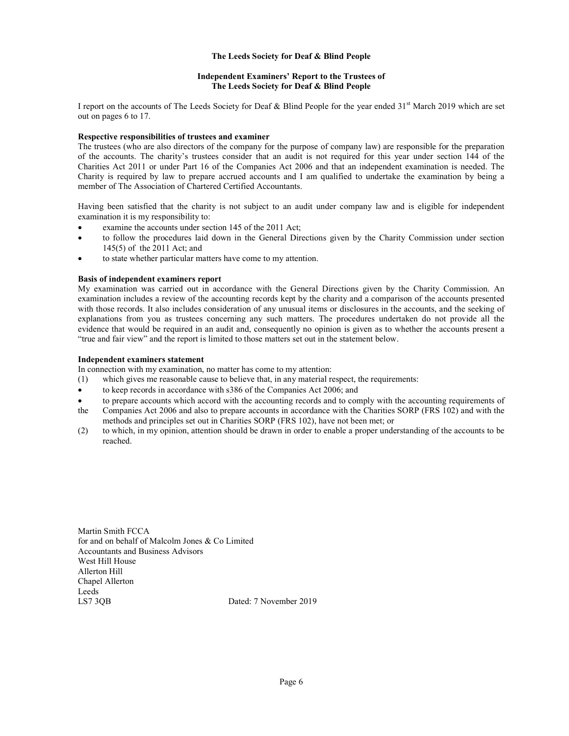## The Leeds Society for Deaf & Blind People

### Independent Examiners' Report to the Trustees of The Leeds Society for Deaf & Blind People

I report on the accounts of The Leeds Society for Deaf & Blind People for the year ended  $31<sup>st</sup>$  March 2019 which are set out on pages 6 to 17.

### Respective responsibilities of trustees and examiner

The trustees (who are also directors of the company for the purpose of company law) are responsible for the preparation of the accounts. The charity's trustees consider that an audit is not required for this year under section 144 of the Charities Act 2011 or under Part 16 of the Companies Act 2006 and that an independent examination is needed. The Charity is required by law to prepare accrued accounts and I am qualified to undertake the examination by being a member of The Association of Chartered Certified Accountants.

Having been satisfied that the charity is not subject to an audit under company law and is eligible for independent examination it is my responsibility to:

- examine the accounts under section 145 of the 2011 Act;
- to follow the procedures laid down in the General Directions given by the Charity Commission under section 145(5) of the 2011 Act; and
- to state whether particular matters have come to my attention.

### Basis of independent examiners report

My examination was carried out in accordance with the General Directions given by the Charity Commission. An examination includes a review of the accounting records kept by the charity and a comparison of the accounts presented with those records. It also includes consideration of any unusual items or disclosures in the accounts, and the seeking of explanations from you as trustees concerning any such matters. The procedures undertaken do not provide all the evidence that would be required in an audit and, consequently no opinion is given as to whether the accounts present a "true and fair view" and the report is limited to those matters set out in the statement below.

## Independent examiners statement

In connection with my examination, no matter has come to my attention:

- (1) which gives me reasonable cause to believe that, in any material respect, the requirements:
- to keep records in accordance with s386 of the Companies Act 2006; and
- to prepare accounts which accord with the accounting records and to comply with the accounting requirements of the Companies Act 2006 and also to prepare accounts in accordance with the Charities SORP (FRS 102) and with the
- methods and principles set out in Charities SORP (FRS 102), have not been met; or
- (2) to which, in my opinion, attention should be drawn in order to enable a proper understanding of the accounts to be reached.

Martin Smith FCCA for and on behalf of Malcolm Jones & Co Limited Accountants and Business Advisors West Hill House Allerton Hill Chapel Allerton Leeds LS7 3QB Dated: 7 November 2019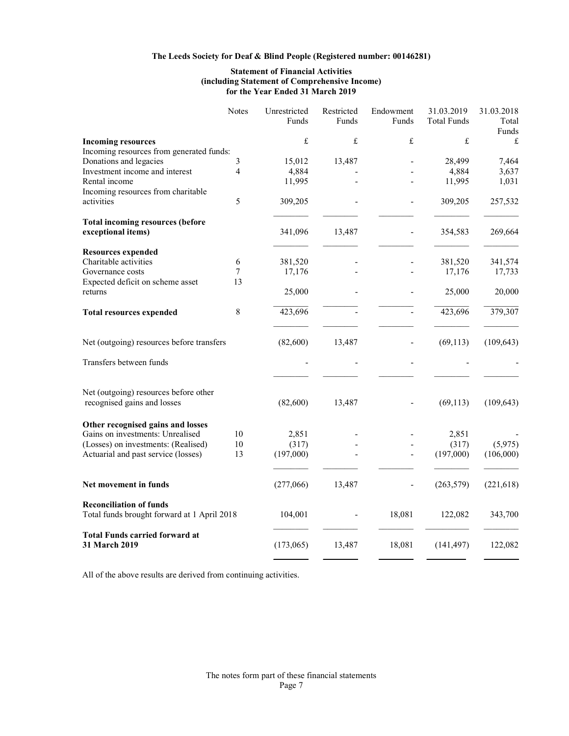# Statement of Financial Activities (including Statement of Comprehensive Income) for the Year Ended 31 March 2019

|                                                                               | Notes | Unrestricted<br>Funds | Restricted<br>Funds | Endowment<br>Funds | 31.03.2019<br>Total Funds | 31.03.2018<br>Total<br>Funds |
|-------------------------------------------------------------------------------|-------|-----------------------|---------------------|--------------------|---------------------------|------------------------------|
| <b>Incoming resources</b>                                                     |       | £                     | £                   | £                  | £                         | $\pounds$                    |
| Incoming resources from generated funds:                                      |       |                       |                     |                    |                           |                              |
| Donations and legacies                                                        | 3     | 15,012                | 13,487              |                    | 28,499                    | 7,464                        |
| Investment income and interest                                                | 4     | 4,884                 |                     |                    | 4,884                     | 3,637                        |
| Rental income                                                                 |       | 11,995                |                     |                    | 11,995                    | 1,031                        |
| Incoming resources from charitable                                            |       |                       |                     |                    |                           |                              |
| activities                                                                    | 5     | 309,205               |                     |                    | 309,205                   | 257,532                      |
|                                                                               |       |                       |                     |                    |                           |                              |
| <b>Total incoming resources (before</b>                                       |       |                       |                     |                    |                           |                              |
| exceptional items)                                                            |       | 341,096               | 13,487              |                    | 354,583                   | 269,664                      |
| <b>Resources expended</b>                                                     |       |                       |                     |                    |                           |                              |
| Charitable activities                                                         | 6     | 381,520               |                     |                    | 381,520                   | 341,574                      |
| Governance costs                                                              | 7     | 17,176                |                     |                    | 17,176                    | 17,733                       |
| Expected deficit on scheme asset                                              | 13    |                       |                     |                    |                           |                              |
| returns                                                                       |       | 25,000                |                     |                    | 25,000                    | 20,000                       |
| <b>Total resources expended</b>                                               | 8     | 423,696               |                     |                    | 423,696                   | 379,307                      |
| Net (outgoing) resources before transfers                                     |       | (82,600)              | 13,487              |                    | (69, 113)                 | (109, 643)                   |
| Transfers between funds                                                       |       |                       |                     |                    |                           |                              |
| Net (outgoing) resources before other                                         |       |                       |                     |                    |                           |                              |
| recognised gains and losses                                                   |       | (82,600)              | 13,487              |                    | (69, 113)                 | (109, 643)                   |
| Other recognised gains and losses                                             |       |                       |                     |                    |                           |                              |
| Gains on investments: Unrealised                                              | 10    | 2,851                 |                     |                    | 2,851                     |                              |
| (Losses) on investments: (Realised)                                           | 10    | (317)                 |                     |                    | (317)                     | (5,975)                      |
| Actuarial and past service (losses)                                           | 13    | (197,000)             |                     |                    | (197,000)                 | (106,000)                    |
| Net movement in funds                                                         |       | (277,066)             | 13,487              | $\blacksquare$     | (263, 579)                | (221, 618)                   |
| <b>Reconciliation of funds</b><br>Total funds brought forward at 1 April 2018 |       | 104,001               |                     | 18,081             | 122,082                   | 343,700                      |
| <b>Total Funds carried forward at</b><br><b>31 March 2019</b>                 |       | (173,065)             | 13,487              | 18,081             | (141, 497)                | 122,082                      |

All of the above results are derived from continuing activities.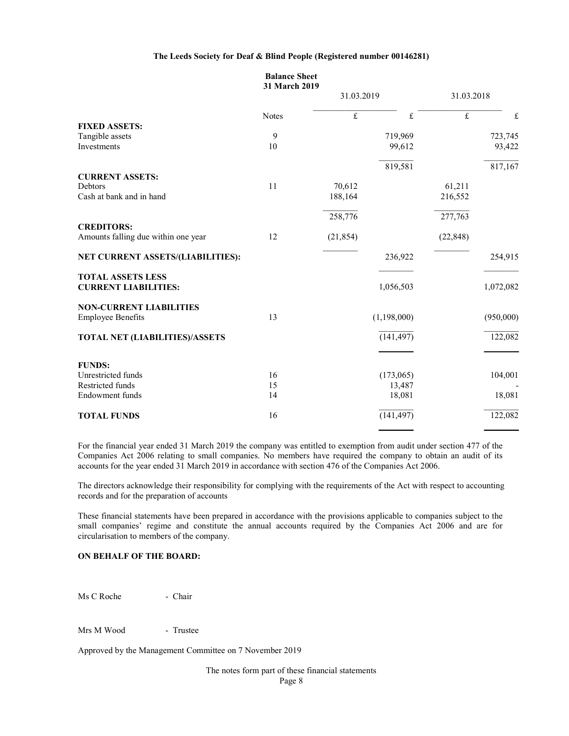|                                       | <b>Balance Sheet</b><br>31 March 2019 |             |             |                |           |
|---------------------------------------|---------------------------------------|-------------|-------------|----------------|-----------|
|                                       |                                       | 31.03.2019  |             | 31.03.2018     |           |
|                                       | <b>Notes</b>                          | $\mathbf f$ | $\pounds$   | $\overline{f}$ | $\pounds$ |
| <b>FIXED ASSETS:</b>                  |                                       |             |             |                |           |
| Tangible assets                       | 9                                     |             | 719,969     |                | 723,745   |
| Investments                           | 10                                    |             | 99,612      |                | 93,422    |
|                                       |                                       |             | 819,581     |                | 817,167   |
| <b>CURRENT ASSETS:</b>                |                                       |             |             |                |           |
| <b>Debtors</b>                        | 11                                    | 70,612      |             | 61,211         |           |
| Cash at bank and in hand              |                                       | 188,164     |             | 216,552        |           |
|                                       |                                       | 258,776     |             | 277,763        |           |
| <b>CREDITORS:</b>                     |                                       |             |             |                |           |
| Amounts falling due within one year   | 12                                    | (21, 854)   |             | (22, 848)      |           |
| NET CURRENT ASSETS/(LIABILITIES):     |                                       |             | 236,922     |                | 254,915   |
| <b>TOTAL ASSETS LESS</b>              |                                       |             |             |                |           |
| <b>CURRENT LIABILITIES:</b>           |                                       |             | 1,056,503   |                | 1,072,082 |
| <b>NON-CURRENT LIABILITIES</b>        |                                       |             |             |                |           |
| <b>Employee Benefits</b>              | 13                                    |             | (1,198,000) |                | (950,000) |
| <b>TOTAL NET (LIABILITIES)/ASSETS</b> |                                       |             | (141, 497)  |                | 122,082   |
|                                       |                                       |             |             |                |           |
| <b>FUNDS:</b>                         |                                       |             |             |                |           |
| Unrestricted funds                    | 16                                    |             | (173,065)   |                | 104,001   |
| Restricted funds                      | 15                                    |             | 13,487      |                |           |
| Endowment funds                       | 14                                    |             | 18,081      |                | 18,081    |
| <b>TOTAL FUNDS</b>                    | 16                                    |             | (141, 497)  |                | 122,082   |
|                                       |                                       |             |             |                |           |

For the financial year ended 31 March 2019 the company was entitled to exemption from audit under section 477 of the Companies Act 2006 relating to small companies. No members have required the company to obtain an audit of its accounts for the year ended 31 March 2019 in accordance with section 476 of the Companies Act 2006.

The directors acknowledge their responsibility for complying with the requirements of the Act with respect to accounting records and for the preparation of accounts

These financial statements have been prepared in accordance with the provisions applicable to companies subject to the small companies' regime and constitute the annual accounts required by the Companies Act 2006 and are for circularisation to members of the company.

# ON BEHALF OF THE BOARD:

Ms C Roche - Chair

Mrs M Wood - Trustee

Approved by the Management Committee on 7 November 2019

The notes form part of these financial statements

Page 8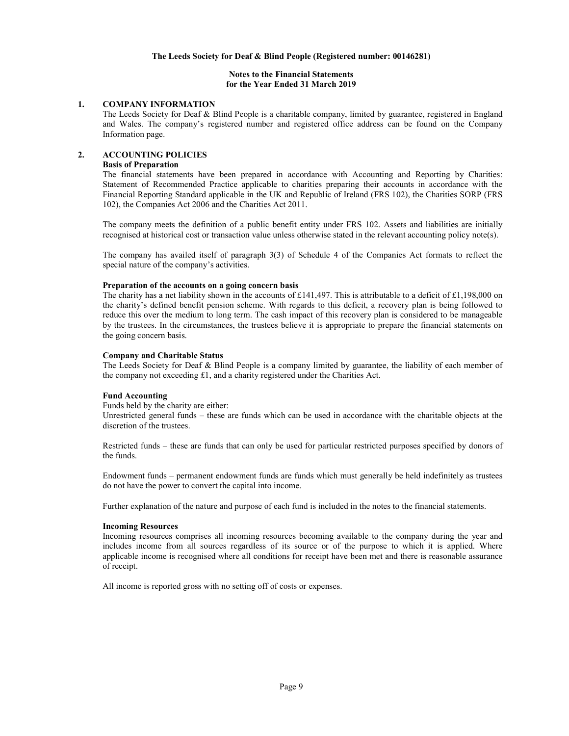### Notes to the Financial Statements for the Year Ended 31 March 2019

# 1. COMPANY INFORMATION

The Leeds Society for Deaf & Blind People is a charitable company, limited by guarantee, registered in England and Wales. The company's registered number and registered office address can be found on the Company Information page.

## 2. ACCOUNTING POLICIES

## Basis of Preparation

The financial statements have been prepared in accordance with Accounting and Reporting by Charities: Statement of Recommended Practice applicable to charities preparing their accounts in accordance with the Financial Reporting Standard applicable in the UK and Republic of Ireland (FRS 102), the Charities SORP (FRS 102), the Companies Act 2006 and the Charities Act 2011.

The company meets the definition of a public benefit entity under FRS 102. Assets and liabilities are initially recognised at historical cost or transaction value unless otherwise stated in the relevant accounting policy note(s).

The company has availed itself of paragraph 3(3) of Schedule 4 of the Companies Act formats to reflect the special nature of the company's activities.

### Preparation of the accounts on a going concern basis

The charity has a net liability shown in the accounts of £141,497. This is attributable to a deficit of £1,198,000 on the charity's defined benefit pension scheme. With regards to this deficit, a recovery plan is being followed to reduce this over the medium to long term. The cash impact of this recovery plan is considered to be manageable by the trustees. In the circumstances, the trustees believe it is appropriate to prepare the financial statements on the going concern basis.

#### Company and Charitable Status

The Leeds Society for Deaf & Blind People is a company limited by guarantee, the liability of each member of the company not exceeding £1, and a charity registered under the Charities Act.

### Fund Accounting

Funds held by the charity are either:

Unrestricted general funds – these are funds which can be used in accordance with the charitable objects at the discretion of the trustees.

Restricted funds – these are funds that can only be used for particular restricted purposes specified by donors of the funds.

Endowment funds – permanent endowment funds are funds which must generally be held indefinitely as trustees do not have the power to convert the capital into income.

Further explanation of the nature and purpose of each fund is included in the notes to the financial statements.

### Incoming Resources

Incoming resources comprises all incoming resources becoming available to the company during the year and includes income from all sources regardless of its source or of the purpose to which it is applied. Where applicable income is recognised where all conditions for receipt have been met and there is reasonable assurance of receipt.

All income is reported gross with no setting off of costs or expenses.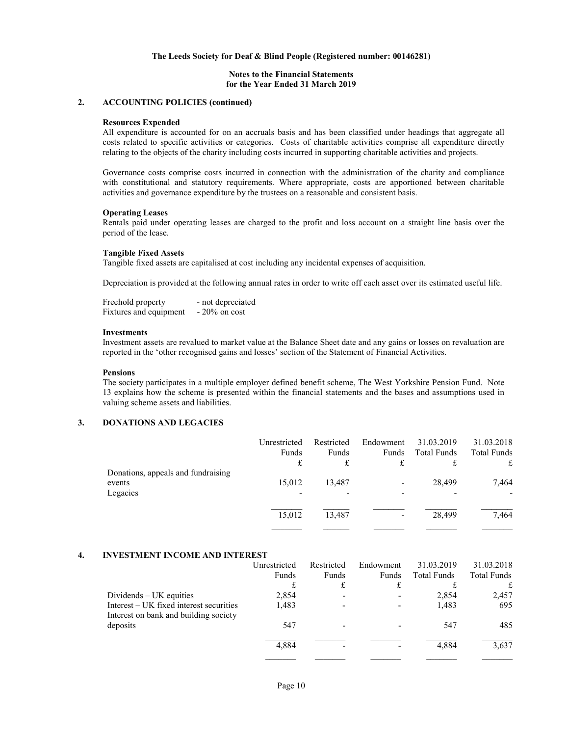#### Notes to the Financial Statements for the Year Ended 31 March 2019

## 2. ACCOUNTING POLICIES (continued)

#### Resources Expended

All expenditure is accounted for on an accruals basis and has been classified under headings that aggregate all costs related to specific activities or categories. Costs of charitable activities comprise all expenditure directly relating to the objects of the charity including costs incurred in supporting charitable activities and projects.

Governance costs comprise costs incurred in connection with the administration of the charity and compliance with constitutional and statutory requirements. Where appropriate, costs are apportioned between charitable activities and governance expenditure by the trustees on a reasonable and consistent basis.

#### Operating Leases

Rentals paid under operating leases are charged to the profit and loss account on a straight line basis over the period of the lease.

#### Tangible Fixed Assets

Tangible fixed assets are capitalised at cost including any incidental expenses of acquisition.

Depreciation is provided at the following annual rates in order to write off each asset over its estimated useful life.

| Freehold property      | - not depreciated |
|------------------------|-------------------|
| Fixtures and equipment | $-20\%$ on cost   |

### Investments

Investment assets are revalued to market value at the Balance Sheet date and any gains or losses on revaluation are reported in the 'other recognised gains and losses' section of the Statement of Financial Activities.

#### Pensions

The society participates in a multiple employer defined benefit scheme, The West Yorkshire Pension Fund. Note 13 explains how the scheme is presented within the financial statements and the bases and assumptions used in valuing scheme assets and liabilities.

# 3. DONATIONS AND LEGACIES

|                                    | Unrestricted | Restricted | Endowment                | 31.03.2019         | 31.03.2018         |
|------------------------------------|--------------|------------|--------------------------|--------------------|--------------------|
|                                    | Funds        | Funds      | Funds                    | <b>Total Funds</b> | <b>Total Funds</b> |
|                                    | £            | £          | £                        |                    | £                  |
| Donations, appeals and fundraising |              |            |                          |                    |                    |
| events                             | 15,012       | 13.487     | $\overline{\phantom{0}}$ | 28,499             | 7,464              |
| Legacies                           |              |            | -                        |                    |                    |
|                                    |              |            |                          |                    |                    |
|                                    | 15,012       | 13.487     | $\overline{\phantom{0}}$ | 28,499             | 7,464              |
|                                    |              |            |                          |                    |                    |

### 4. INVESTMENT INCOME AND INTEREST

|                                         | Unrestricted | Restricted | Endowment                | 31.03.2019         | 31.03.2018         |
|-----------------------------------------|--------------|------------|--------------------------|--------------------|--------------------|
|                                         | Funds        | Funds      | Funds                    | <b>Total Funds</b> | <b>Total Funds</b> |
|                                         | £            |            |                          |                    |                    |
| Dividends $- UK$ equities               | 2,854        |            |                          | 2,854              | 2,457              |
| Interest – UK fixed interest securities | 1,483        |            | $\overline{\phantom{0}}$ | 1,483              | 695                |
| Interest on bank and building society   |              |            |                          |                    |                    |
| deposits                                | 547          |            |                          | 547                | 485                |
|                                         |              |            |                          |                    |                    |
|                                         | 4,884        |            |                          | 4.884              | 3,637              |
|                                         |              |            |                          |                    |                    |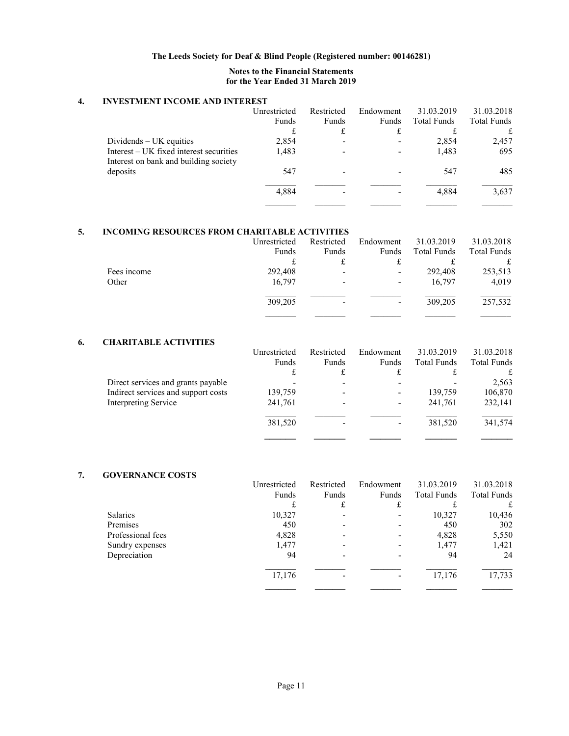# Notes to the Financial Statements for the Year Ended 31 March 2019

# 4. INVESTMENT INCOME AND INTEREST

|                                         | Unrestricted | Restricted | Endowment | 31.03.2019         | 31.03.2018         |
|-----------------------------------------|--------------|------------|-----------|--------------------|--------------------|
|                                         | Funds        | Funds      | Funds     | <b>Total Funds</b> | <b>Total Funds</b> |
|                                         |              |            |           |                    | £                  |
| $Dividends – UK$ equities               | 2,854        |            |           | 2,854              | 2,457              |
| Interest – UK fixed interest securities | 1,483        |            |           | 1,483              | 695                |
| Interest on bank and building society   |              |            |           |                    |                    |
| deposits                                | 547          |            |           | 547                | 485                |
|                                         |              |            |           |                    |                    |
|                                         | 4,884        |            |           | 4.884              | 3,637              |
|                                         |              |            |           |                    |                    |

# 5. INCOMING RESOURCES FROM CHARITABLE ACTIVITIES

|             | Unrestricted | Restricted | Endowment                | 31.03.2019  | 31.03.2018  |
|-------------|--------------|------------|--------------------------|-------------|-------------|
|             | Funds        | Funds      | Funds                    | Total Funds | Total Funds |
|             |              | £          |                          |             |             |
| Fees income | 292,408      |            | ٠                        | 292,408     | 253,513     |
| Other       | 16,797       | -          | $\overline{\phantom{a}}$ | 16,797      | 4,019       |
|             | 309,205      |            |                          | 309,205     | 257,532     |
|             |              |            |                          |             |             |

# 6. CHARITABLE ACTIVITIES

|                                     | Unrestricted | Restricted | Endowment | 31.03.2019         | 31.03.2018         |
|-------------------------------------|--------------|------------|-----------|--------------------|--------------------|
|                                     | Funds        | Funds      | Funds     | <b>Total Funds</b> | <b>Total Funds</b> |
|                                     | £            |            |           |                    |                    |
| Direct services and grants payable  |              |            |           |                    | 2,563              |
| Indirect services and support costs | 139,759      |            |           | 139,759            | 106,870            |
| Interpreting Service                | 241,761      |            |           | 241,761            | 232,141            |
|                                     | 381,520      |            |           | 381,520            | 341,574            |
|                                     |              |            |           |                    |                    |

# 7. GOVERNANCE COSTS

|                   | Unrestricted | Restricted | Endowment | 31.03.2019         | 31.03.2018         |
|-------------------|--------------|------------|-----------|--------------------|--------------------|
|                   | Funds        | Funds      | Funds     | <b>Total Funds</b> | <b>Total Funds</b> |
|                   | £            |            | £         |                    | £                  |
| <b>Salaries</b>   | 10,327       |            |           | 10,327             | 10,436             |
| Premises          | 450          |            |           | 450                | 302                |
| Professional fees | 4,828        |            |           | 4,828              | 5,550              |
| Sundry expenses   | 1,477        |            |           | 1,477              | 1,421              |
| Depreciation      | 94           |            |           | 94                 | 24                 |
|                   | 17,176       |            |           | 17,176             | 17,733             |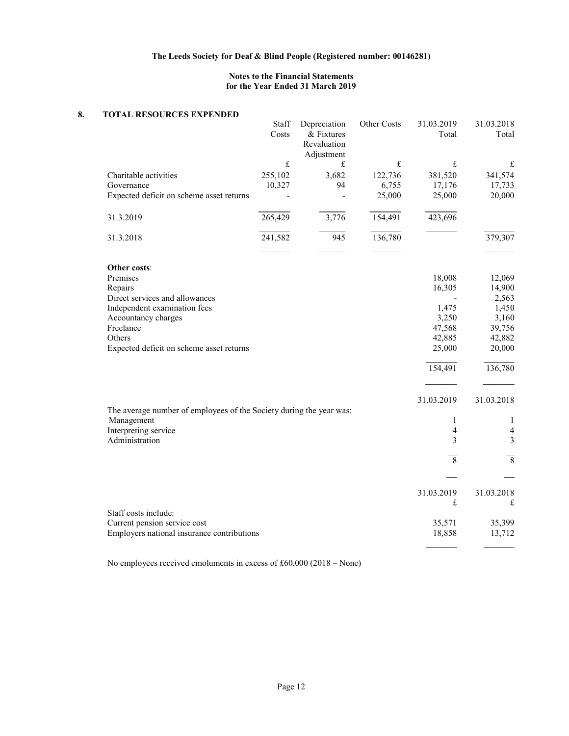# Notes to the Financial Statements for the Year Ended 31 March 2019

# 8. TOTAL RESOURCES EXPENDED

|                                                                                   | Staff<br>Costs | Depreciation<br>& Fixtures<br>Revaluation<br>Adjustment | Other Costs                                                             | 31.03.2019<br>Total | 31.03.2018<br>Total     |
|-----------------------------------------------------------------------------------|----------------|---------------------------------------------------------|-------------------------------------------------------------------------|---------------------|-------------------------|
|                                                                                   | £              | £                                                       | $\mathfrak{L}% _{F}=\mathfrak{L}_{F}\!\left( \mathfrak{L}_{F}\right) ,$ | $\mathbf f$         | £                       |
| Charitable activities                                                             | 255,102        | 3,682                                                   | 122,736                                                                 | 381,520             | 341,574                 |
| Governance                                                                        | 10,327         | 94                                                      | 6,755                                                                   | 17,176              | 17,733                  |
| Expected deficit on scheme asset returns                                          |                |                                                         | 25,000                                                                  | 25,000              | 20,000                  |
| 31.3.2019                                                                         | 265,429        | 3,776                                                   | 154,491                                                                 | 423,696             |                         |
| 31.3.2018                                                                         | 241,582        | 945                                                     | 136,780                                                                 |                     | 379,307                 |
|                                                                                   |                |                                                         |                                                                         |                     |                         |
| Other costs:<br>Premises                                                          |                |                                                         |                                                                         |                     |                         |
|                                                                                   |                |                                                         |                                                                         | 18,008<br>16,305    | 12,069<br>14,900        |
| Repairs<br>Direct services and allowances                                         |                |                                                         |                                                                         |                     | 2,563                   |
| Independent examination fees                                                      |                |                                                         |                                                                         | 1,475               | 1,450                   |
| Accountancy charges                                                               |                |                                                         |                                                                         | 3,250               | 3,160                   |
| Freelance                                                                         |                |                                                         |                                                                         | 47,568              | 39,756                  |
| Others                                                                            |                |                                                         |                                                                         | 42,885              | 42,882                  |
| Expected deficit on scheme asset returns                                          |                |                                                         |                                                                         | 25,000              | 20,000                  |
|                                                                                   |                |                                                         |                                                                         | 154,491             | 136,780                 |
|                                                                                   |                |                                                         |                                                                         |                     |                         |
|                                                                                   |                |                                                         |                                                                         | 31.03.2019          | 31.03.2018              |
| The average number of employees of the Society during the year was:<br>Management |                |                                                         |                                                                         | 1                   | 1                       |
| Interpreting service                                                              |                |                                                         |                                                                         | 4                   | 4                       |
| Administration                                                                    |                |                                                         |                                                                         | 3                   | $\overline{\mathbf{3}}$ |
|                                                                                   |                |                                                         |                                                                         | $\,8\,$             | $\overline{8}$          |
|                                                                                   |                |                                                         |                                                                         |                     |                         |
|                                                                                   |                |                                                         |                                                                         | 31.03.2019          | 31.03.2018              |
|                                                                                   |                |                                                         |                                                                         | £                   | £                       |
| Staff costs include:<br>Current pension service cost                              |                |                                                         |                                                                         | 35,571              | 35,399                  |
| Employers national insurance contributions                                        |                |                                                         |                                                                         | 18,858              | 13,712                  |
|                                                                                   |                |                                                         |                                                                         |                     |                         |

No employees received emoluments in excess of £60,000 (2018 – None)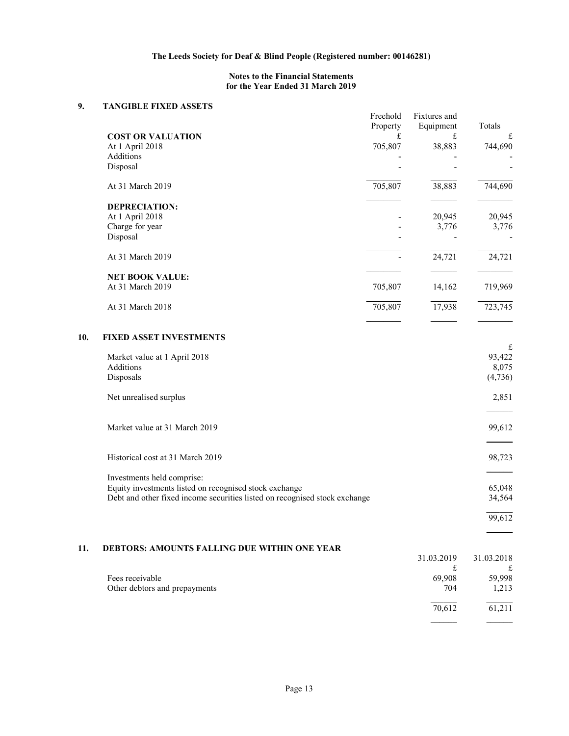# Notes to the Financial Statements for the Year Ended 31 March 2019

# 9. TANGIBLE FIXED ASSETS

| <b>,</b> | TARGIDLE FIAED ASSETS                                                      | Freehold<br>Property | Fixtures and<br>Equipment | Totals      |  |
|----------|----------------------------------------------------------------------------|----------------------|---------------------------|-------------|--|
|          | <b>COST OR VALUATION</b>                                                   | £                    | £                         | £           |  |
|          | At 1 April 2018                                                            | 705,807              | 38,883                    | 744,690     |  |
|          | Additions<br>Disposal                                                      |                      |                           |             |  |
|          |                                                                            |                      |                           |             |  |
|          | At 31 March 2019                                                           | 705,807              | 38,883                    | 744,690     |  |
|          | <b>DEPRECIATION:</b>                                                       |                      |                           |             |  |
|          | At 1 April 2018                                                            |                      | 20,945                    | 20,945      |  |
|          | Charge for year                                                            |                      | 3,776                     | 3,776       |  |
|          | Disposal                                                                   |                      |                           |             |  |
|          | At 31 March 2019                                                           |                      | 24,721                    | 24,721      |  |
|          | <b>NET BOOK VALUE:</b>                                                     |                      |                           |             |  |
|          | At 31 March 2019                                                           | 705,807              | 14,162                    | 719,969     |  |
|          | At 31 March 2018                                                           | 705,807              | 17,938                    | 723,745     |  |
| 10.      | <b>FIXED ASSET INVESTMENTS</b>                                             |                      |                           |             |  |
|          | Market value at 1 April 2018                                               |                      |                           | £<br>93,422 |  |
|          | Additions                                                                  |                      |                           | 8,075       |  |
|          | Disposals                                                                  |                      |                           | (4,736)     |  |
|          | Net unrealised surplus                                                     |                      |                           | 2,851       |  |
|          | Market value at 31 March 2019                                              |                      |                           | 99,612      |  |
|          | Historical cost at 31 March 2019                                           |                      |                           | 98,723      |  |
|          | Investments held comprise:                                                 |                      |                           |             |  |
|          | Equity investments listed on recognised stock exchange                     |                      |                           | 65,048      |  |
|          | Debt and other fixed income securities listed on recognised stock exchange |                      |                           | 34,564      |  |
|          |                                                                            |                      |                           | 99,612      |  |
|          |                                                                            |                      |                           |             |  |
| 11.      | <b>DEBTORS: AMOUNTS FALLING DUE WITHIN ONE YEAR</b>                        |                      |                           |             |  |
|          |                                                                            |                      | 31.03.2019                | 31.03.2018  |  |
|          | Fees receivable                                                            |                      | £<br>69,908               | £<br>59,998 |  |
|          | Other debtors and prepayments                                              |                      | 704                       | 1,213       |  |
|          |                                                                            |                      | 70,612                    | 61,211      |  |
|          |                                                                            |                      |                           |             |  |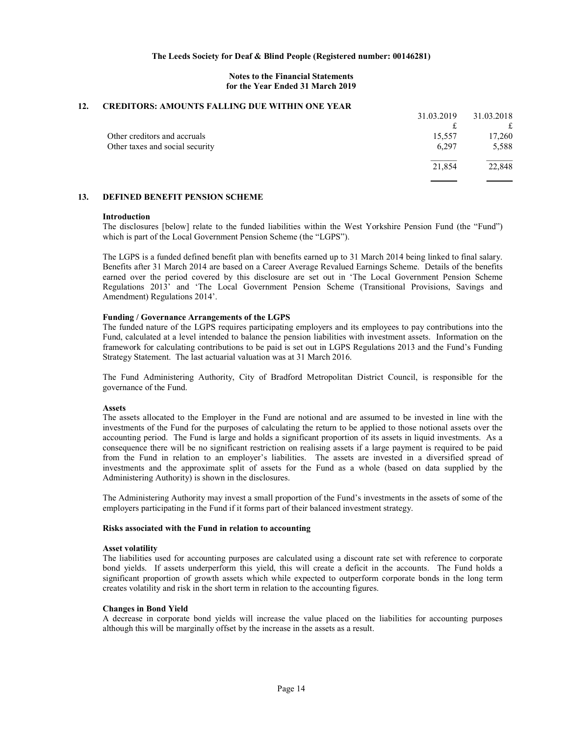#### Notes to the Financial Statements for the Year Ended 31 March 2019

### 12. CREDITORS: AMOUNTS FALLING DUE WITHIN ONE YEAR

|                                 | 31.03.2019 | 31.03.2018 |
|---------------------------------|------------|------------|
|                                 |            | £          |
| Other creditors and accruals    | 15,557     | 17,260     |
| Other taxes and social security | 6.297      | 5,588      |
|                                 | 21,854     | 22,848     |
|                                 |            |            |

### 13. DEFINED BENEFIT PENSION SCHEME

#### Introduction

The disclosures [below] relate to the funded liabilities within the West Yorkshire Pension Fund (the "Fund") which is part of the Local Government Pension Scheme (the "LGPS").

The LGPS is a funded defined benefit plan with benefits earned up to 31 March 2014 being linked to final salary. Benefits after 31 March 2014 are based on a Career Average Revalued Earnings Scheme. Details of the benefits earned over the period covered by this disclosure are set out in 'The Local Government Pension Scheme Regulations 2013' and 'The Local Government Pension Scheme (Transitional Provisions, Savings and Amendment) Regulations 2014'.

#### Funding / Governance Arrangements of the LGPS

The funded nature of the LGPS requires participating employers and its employees to pay contributions into the Fund, calculated at a level intended to balance the pension liabilities with investment assets. Information on the framework for calculating contributions to be paid is set out in LGPS Regulations 2013 and the Fund's Funding Strategy Statement. The last actuarial valuation was at 31 March 2016.

The Fund Administering Authority, City of Bradford Metropolitan District Council, is responsible for the governance of the Fund.

#### Assets

The assets allocated to the Employer in the Fund are notional and are assumed to be invested in line with the investments of the Fund for the purposes of calculating the return to be applied to those notional assets over the accounting period. The Fund is large and holds a significant proportion of its assets in liquid investments. As a consequence there will be no significant restriction on realising assets if a large payment is required to be paid from the Fund in relation to an employer's liabilities. The assets are invested in a diversified spread of investments and the approximate split of assets for the Fund as a whole (based on data supplied by the Administering Authority) is shown in the disclosures.

The Administering Authority may invest a small proportion of the Fund's investments in the assets of some of the employers participating in the Fund if it forms part of their balanced investment strategy.

#### Risks associated with the Fund in relation to accounting

#### Asset volatility

The liabilities used for accounting purposes are calculated using a discount rate set with reference to corporate bond yields. If assets underperform this yield, this will create a deficit in the accounts. The Fund holds a significant proportion of growth assets which while expected to outperform corporate bonds in the long term creates volatility and risk in the short term in relation to the accounting figures.

#### Changes in Bond Yield

A decrease in corporate bond yields will increase the value placed on the liabilities for accounting purposes although this will be marginally offset by the increase in the assets as a result.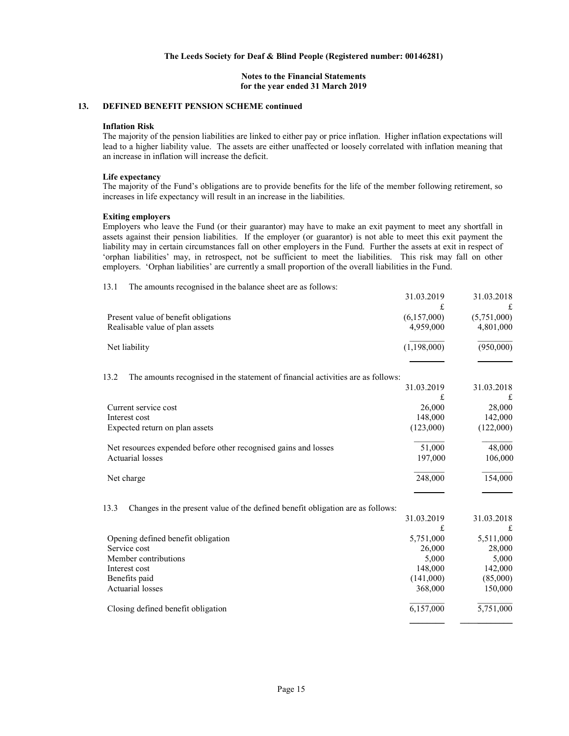### Notes to the Financial Statements for the year ended 31 March 2019

# 13. DEFINED BENEFIT PENSION SCHEME continued

#### Inflation Risk

The majority of the pension liabilities are linked to either pay or price inflation. Higher inflation expectations will lead to a higher liability value. The assets are either unaffected or loosely correlated with inflation meaning that an increase in inflation will increase the deficit.

#### Life expectancy

The majority of the Fund's obligations are to provide benefits for the life of the member following retirement, so increases in life expectancy will result in an increase in the liabilities.

#### Exiting employers

Employers who leave the Fund (or their guarantor) may have to make an exit payment to meet any shortfall in assets against their pension liabilities. If the employer (or guarantor) is not able to meet this exit payment the liability may in certain circumstances fall on other employers in the Fund. Further the assets at exit in respect of 'orphan liabilities' may, in retrospect, not be sufficient to meet the liabilities. This risk may fall on other employers. 'Orphan liabilities' are currently a small proportion of the overall liabilities in the Fund.

| 13.1<br>The amounts recognised in the balance sheet are as follows:                     |                 |                 |
|-----------------------------------------------------------------------------------------|-----------------|-----------------|
|                                                                                         | 31.03.2019      | 31.03.2018      |
|                                                                                         | £               | £               |
| Present value of benefit obligations                                                    | (6,157,000)     | (5,751,000)     |
| Realisable value of plan assets                                                         | 4,959,000       | 4,801,000       |
| Net liability                                                                           | (1,198,000)     | (950,000)       |
|                                                                                         |                 |                 |
| The amounts recognised in the statement of financial activities are as follows:<br>13.2 |                 |                 |
|                                                                                         | 31.03.2019<br>£ | 31.03.2018<br>£ |
| Current service cost                                                                    | 26,000          | 28,000          |
| Interest cost                                                                           | 148,000         | 142,000         |
| Expected return on plan assets                                                          | (123,000)       | (122,000)       |
| Net resources expended before other recognised gains and losses                         | 51,000          | 48,000          |
| <b>Actuarial losses</b>                                                                 | 197,000         | 106,000         |
| Net charge                                                                              | 248,000         | 154,000         |
|                                                                                         |                 |                 |
| 13.3<br>Changes in the present value of the defined benefit obligation are as follows:  |                 |                 |
|                                                                                         | 31.03.2019      | 31.03.2018      |
|                                                                                         | £               | £               |
| Opening defined benefit obligation                                                      | 5,751,000       | 5,511,000       |
| Service cost                                                                            | 26,000          | 28,000          |
| Member contributions                                                                    | 5,000           | 5,000           |
| Interest cost                                                                           | 148,000         | 142,000         |
| Benefits paid                                                                           | (141,000)       | (85,000)        |
| <b>Actuarial losses</b>                                                                 | 368,000         | 150,000         |
| Closing defined benefit obligation                                                      | 6,157,000       | 5,751,000       |
|                                                                                         |                 |                 |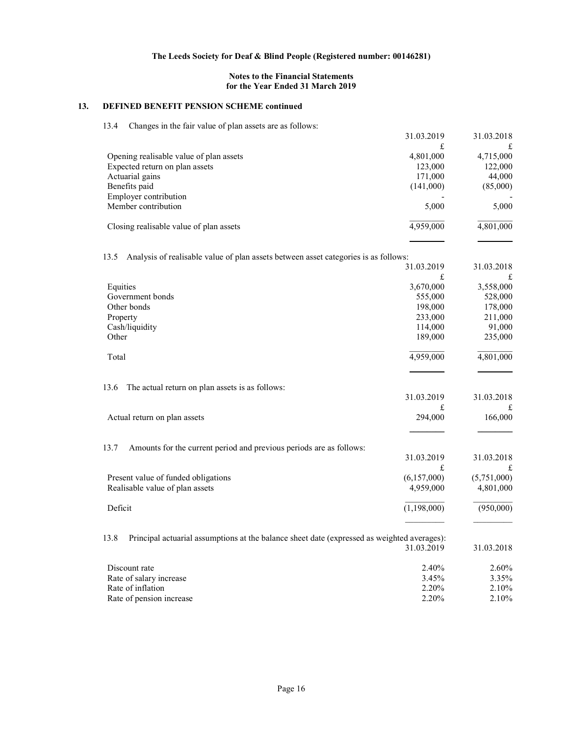# Notes to the Financial Statements for the Year Ended 31 March 2019

# 13. DEFINED BENEFIT PENSION SCHEME continued

|  | 13.4 Changes in the fair value of plan assets are as follows: |
|--|---------------------------------------------------------------|
|--|---------------------------------------------------------------|

|                                                                                                     | 31.03.2019  | 31.03.2018  |
|-----------------------------------------------------------------------------------------------------|-------------|-------------|
|                                                                                                     | £           | £           |
| Opening realisable value of plan assets                                                             | 4,801,000   | 4,715,000   |
| Expected return on plan assets                                                                      | 123,000     | 122,000     |
| Actuarial gains                                                                                     | 171,000     | 44,000      |
| Benefits paid                                                                                       | (141,000)   | (85,000)    |
| Employer contribution                                                                               |             |             |
| Member contribution                                                                                 | 5,000       | 5,000       |
|                                                                                                     |             |             |
| Closing realisable value of plan assets                                                             | 4,959,000   | 4,801,000   |
|                                                                                                     |             |             |
| Analysis of realisable value of plan assets between asset categories is as follows:<br>13.5         |             |             |
|                                                                                                     | 31.03.2019  | 31.03.2018  |
|                                                                                                     | £           | £           |
| Equities                                                                                            | 3,670,000   | 3,558,000   |
| Government bonds                                                                                    | 555,000     | 528,000     |
| Other bonds                                                                                         | 198,000     | 178,000     |
| Property                                                                                            | 233,000     | 211,000     |
| Cash/liquidity                                                                                      | 114,000     | 91,000      |
| Other                                                                                               | 189,000     | 235,000     |
| Total                                                                                               | 4,959,000   | 4,801,000   |
|                                                                                                     |             |             |
|                                                                                                     |             |             |
| 13.6<br>The actual return on plan assets is as follows:                                             |             |             |
|                                                                                                     | 31.03.2019  | 31.03.2018  |
|                                                                                                     | £           | £           |
| Actual return on plan assets                                                                        | 294,000     | 166,000     |
|                                                                                                     |             |             |
| 13.7<br>Amounts for the current period and previous periods are as follows:                         |             |             |
|                                                                                                     | 31.03.2019  | 31.03.2018  |
|                                                                                                     | £           | £           |
| Present value of funded obligations                                                                 | (6,157,000) | (5,751,000) |
| Realisable value of plan assets                                                                     | 4,959,000   | 4,801,000   |
|                                                                                                     |             |             |
| Deficit                                                                                             | (1,198,000) | (950,000)   |
|                                                                                                     |             |             |
| 13.8<br>Principal actuarial assumptions at the balance sheet date (expressed as weighted averages): |             |             |
|                                                                                                     | 31.03.2019  | 31.03.2018  |
| Discount rate                                                                                       | 2.40%       | 2.60%       |
| Rate of salary increase                                                                             | 3.45%       | 3.35%       |
| Rate of inflation                                                                                   | 2.20%       | 2.10%       |
| Rate of pension increase                                                                            | 2.20%       | 2.10%       |
|                                                                                                     |             |             |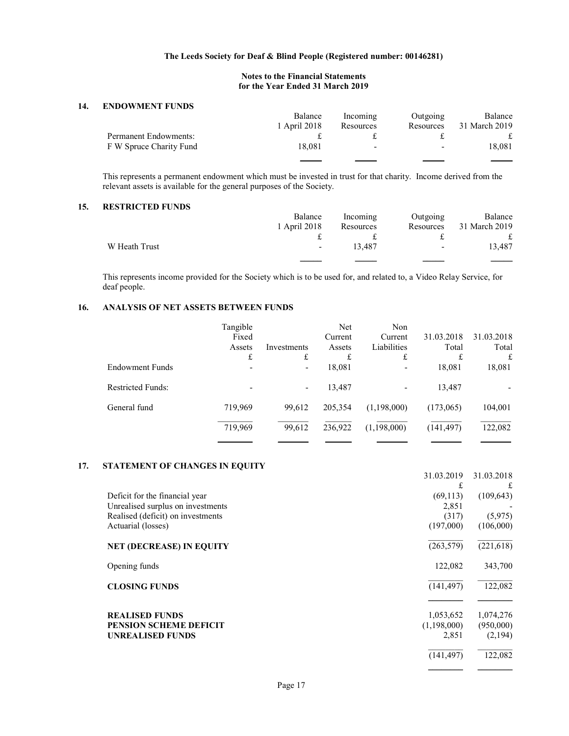# Notes to the Financial Statements for the Year Ended 31 March 2019

### 14. ENDOWMENT FUNDS

|                              | Balance      | Incoming  | Outgoing                 | Balance       |
|------------------------------|--------------|-----------|--------------------------|---------------|
|                              | 1 April 2018 | Resources | Resources                | 31 March 2019 |
| <b>Permanent Endowments:</b> |              |           |                          |               |
| F W Spruce Charity Fund      | 18.081       | -         | $\overline{\phantom{0}}$ | 18,081        |
|                              |              |           |                          |               |

This represents a permanent endowment which must be invested in trust for that charity. Income derived from the relevant assets is available for the general purposes of the Society.

## 15. RESTRICTED FUNDS

|               | Balance      | Incoming  | Outgoing                 | Balance       |
|---------------|--------------|-----------|--------------------------|---------------|
|               | 1 April 2018 | Resources | Resources                | 31 March 2019 |
|               |              |           | $\ddot{+}$               | £             |
| W Heath Trust | $\sim 100$   | 13.487    | $\overline{\phantom{a}}$ | 13.487        |
|               |              |           |                          |               |

This represents income provided for the Society which is to be used for, and related to, a Video Relay Service, for deaf people.

# 16. ANALYSIS OF NET ASSETS BETWEEN FUNDS

|                   | Tangible |                          | Net     | Non         |            |            |
|-------------------|----------|--------------------------|---------|-------------|------------|------------|
|                   | Fixed    |                          | Current | Current     | 31.03.2018 | 31.03.2018 |
|                   | Assets   | Investments              | Assets  | Liabilities | Total      | Total      |
|                   | £        | £                        | £       | £           | £          | £          |
| Endowment Funds   |          | $\overline{\phantom{a}}$ | 18,081  |             | 18,081     | 18,081     |
| Restricted Funds: |          | $\overline{\phantom{a}}$ | 13,487  |             | 13,487     |            |
| General fund      | 719,969  | 99,612                   | 205,354 | (1,198,000) | (173,065)  | 104,001    |
|                   | 719,969  | 99,612                   | 236,922 | (1,198,000) | (141, 497) | 122,082    |
|                   |          |                          |         |             |            |            |

# 17. STATEMENT OF CHANGES IN EQUITY

|                                   | 31.03.2019  | 31.03.2018 |
|-----------------------------------|-------------|------------|
|                                   | £           | £          |
| Deficit for the financial year    | (69, 113)   | (109, 643) |
| Unrealised surplus on investments | 2,851       |            |
| Realised (deficit) on investments | (317)       | (5,975)    |
| Actuarial (losses)                | (197,000)   | (106,000)  |
| <b>NET (DECREASE) IN EQUITY</b>   | (263, 579)  | (221, 618) |
| Opening funds                     | 122,082     | 343,700    |
| <b>CLOSING FUNDS</b>              | (141, 497)  | 122,082    |
|                                   |             |            |
| <b>REALISED FUNDS</b>             | 1,053,652   | 1,074,276  |
| <b>PENSION SCHEME DEFICIT</b>     | (1,198,000) | (950,000)  |
| <b>UNREALISED FUNDS</b>           | 2,851       | (2,194)    |
|                                   | (141, 497)  | 122,082    |
|                                   |             |            |